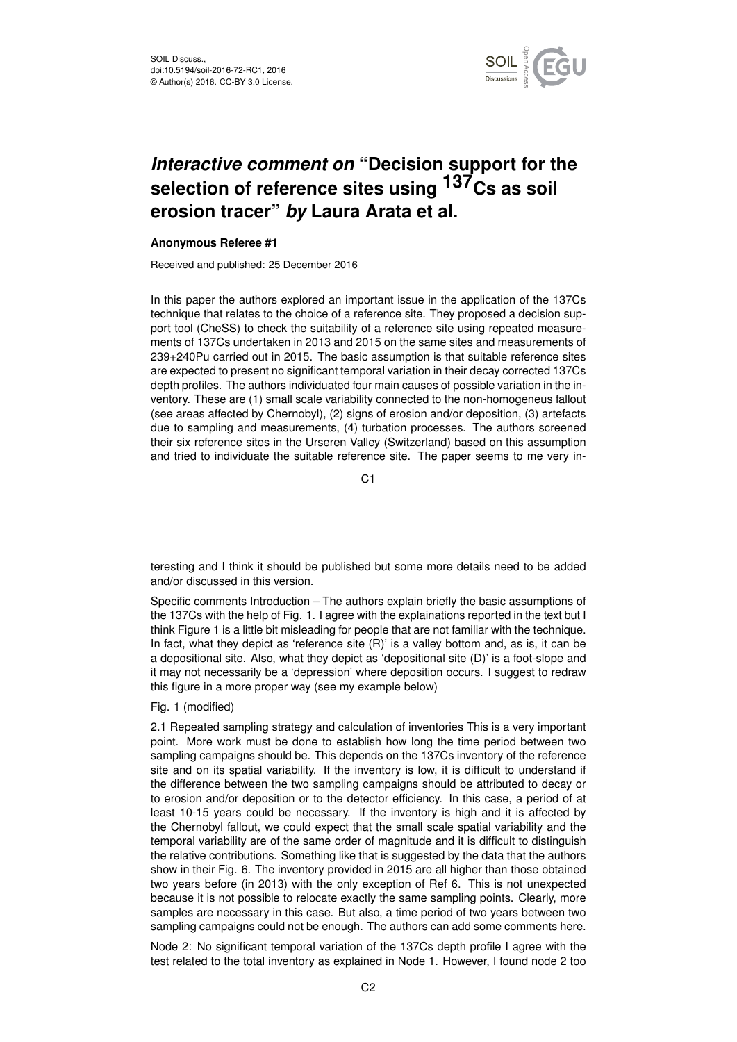

# *Interactive comment on* **"Decision support for the** selection of reference sites using <sup>137</sup>Cs as soil **erosion tracer"** *by* **Laura Arata et al.**

#### **Anonymous Referee #1**

Received and published: 25 December 2016

In this paper the authors explored an important issue in the application of the 137Cs technique that relates to the choice of a reference site. They proposed a decision support tool (CheSS) to check the suitability of a reference site using repeated measurements of 137Cs undertaken in 2013 and 2015 on the same sites and measurements of 239+240Pu carried out in 2015. The basic assumption is that suitable reference sites are expected to present no significant temporal variation in their decay corrected 137Cs depth profiles. The authors individuated four main causes of possible variation in the inventory. These are (1) small scale variability connected to the non-homogeneus fallout (see areas affected by Chernobyl), (2) signs of erosion and/or deposition, (3) artefacts due to sampling and measurements, (4) turbation processes. The authors screened their six reference sites in the Urseren Valley (Switzerland) based on this assumption and tried to individuate the suitable reference site. The paper seems to me very in-

C1

teresting and I think it should be published but some more details need to be added and/or discussed in this version.

Specific comments Introduction – The authors explain briefly the basic assumptions of the 137Cs with the help of Fig. 1. I agree with the explainations reported in the text but I think Figure 1 is a little bit misleading for people that are not familiar with the technique. In fact, what they depict as 'reference site  $(R)$ ' is a valley bottom and, as is, it can be a depositional site. Also, what they depict as 'depositional site (D)' is a foot-slope and it may not necessarily be a 'depression' where deposition occurs. I suggest to redraw this figure in a more proper way (see my example below)

Fig. 1 (modified)

2.1 Repeated sampling strategy and calculation of inventories This is a very important point. More work must be done to establish how long the time period between two sampling campaigns should be. This depends on the 137Cs inventory of the reference site and on its spatial variability. If the inventory is low, it is difficult to understand if the difference between the two sampling campaigns should be attributed to decay or to erosion and/or deposition or to the detector efficiency. In this case, a period of at least 10-15 years could be necessary. If the inventory is high and it is affected by the Chernobyl fallout, we could expect that the small scale spatial variability and the temporal variability are of the same order of magnitude and it is difficult to distinguish the relative contributions. Something like that is suggested by the data that the authors show in their Fig. 6. The inventory provided in 2015 are all higher than those obtained two years before (in 2013) with the only exception of Ref 6. This is not unexpected because it is not possible to relocate exactly the same sampling points. Clearly, more samples are necessary in this case. But also, a time period of two years between two sampling campaigns could not be enough. The authors can add some comments here.

Node 2: No significant temporal variation of the 137Cs depth profile I agree with the test related to the total inventory as explained in Node 1. However, I found node 2 too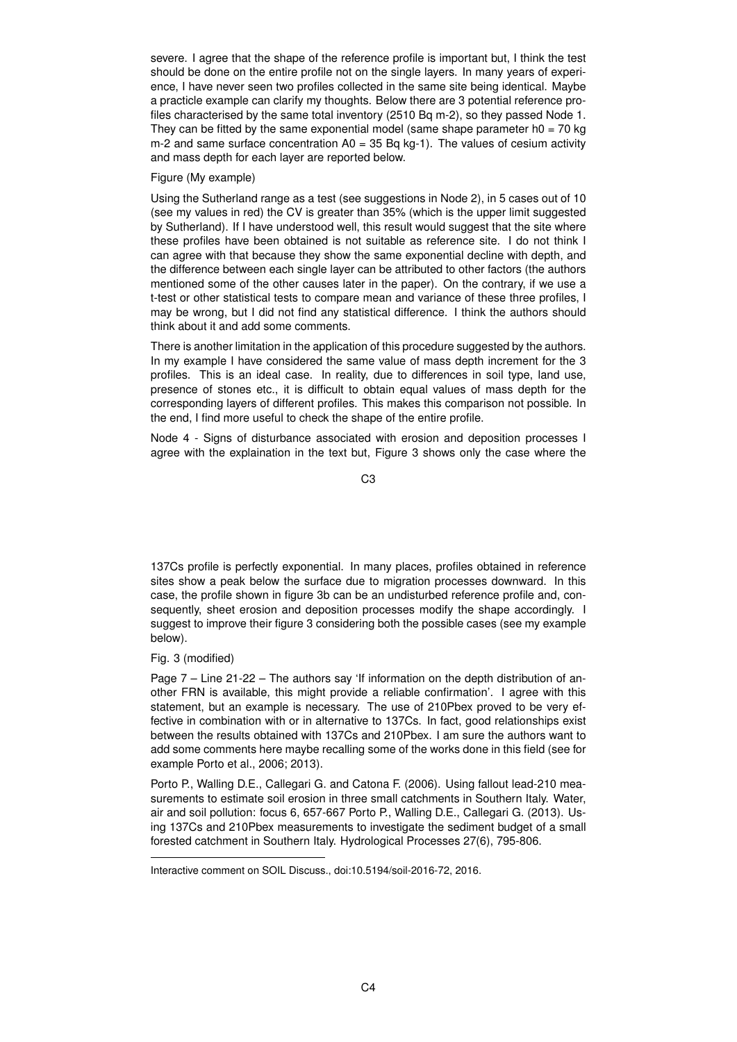severe. I agree that the shape of the reference profile is important but, I think the test should be done on the entire profile not on the single layers. In many years of experience, I have never seen two profiles collected in the same site being identical. Maybe a practicle example can clarify my thoughts. Below there are 3 potential reference profiles characterised by the same total inventory (2510 Bq m-2), so they passed Node 1. They can be fitted by the same exponential model (same shape parameter  $h0 = 70$  kg m-2 and same surface concentration  $A0 = 35$  Bq kg-1). The values of cesium activity and mass depth for each layer are reported below.

#### Figure (My example)

Using the Sutherland range as a test (see suggestions in Node 2), in 5 cases out of 10 (see my values in red) the CV is greater than 35% (which is the upper limit suggested by Sutherland). If I have understood well, this result would suggest that the site where these profiles have been obtained is not suitable as reference site. I do not think I can agree with that because they show the same exponential decline with depth, and the difference between each single layer can be attributed to other factors (the authors mentioned some of the other causes later in the paper). On the contrary, if we use a t-test or other statistical tests to compare mean and variance of these three profiles, I may be wrong, but I did not find any statistical difference. I think the authors should think about it and add some comments.

There is another limitation in the application of this procedure suggested by the authors. In my example I have considered the same value of mass depth increment for the 3 profiles. This is an ideal case. In reality, due to differences in soil type, land use, presence of stones etc., it is difficult to obtain equal values of mass depth for the corresponding layers of different profiles. This makes this comparison not possible. In the end, I find more useful to check the shape of the entire profile.

Node 4 - Signs of disturbance associated with erosion and deposition processes I agree with the explaination in the text but, Figure 3 shows only the case where the

C3

137Cs profile is perfectly exponential. In many places, profiles obtained in reference sites show a peak below the surface due to migration processes downward. In this case, the profile shown in figure 3b can be an undisturbed reference profile and, consequently, sheet erosion and deposition processes modify the shape accordingly. I suggest to improve their figure 3 considering both the possible cases (see my example below).

### Fig. 3 (modified)

Page  $7 -$  Line  $21 - 22 -$  The authors say 'If information on the depth distribution of another FRN is available, this might provide a reliable confirmation'. I agree with this statement, but an example is necessary. The use of 210Pbex proved to be very effective in combination with or in alternative to 137Cs. In fact, good relationships exist between the results obtained with 137Cs and 210Pbex. I am sure the authors want to add some comments here maybe recalling some of the works done in this field (see for example Porto et al., 2006; 2013).

Porto P., Walling D.E., Callegari G. and Catona F. (2006). Using fallout lead-210 measurements to estimate soil erosion in three small catchments in Southern Italy. Water, air and soil pollution: focus 6, 657-667 Porto P., Walling D.E., Callegari G. (2013). Using 137Cs and 210Pbex measurements to investigate the sediment budget of a small forested catchment in Southern Italy. Hydrological Processes 27(6), 795-806.

Interactive comment on SOIL Discuss., doi:10.5194/soil-2016-72, 2016.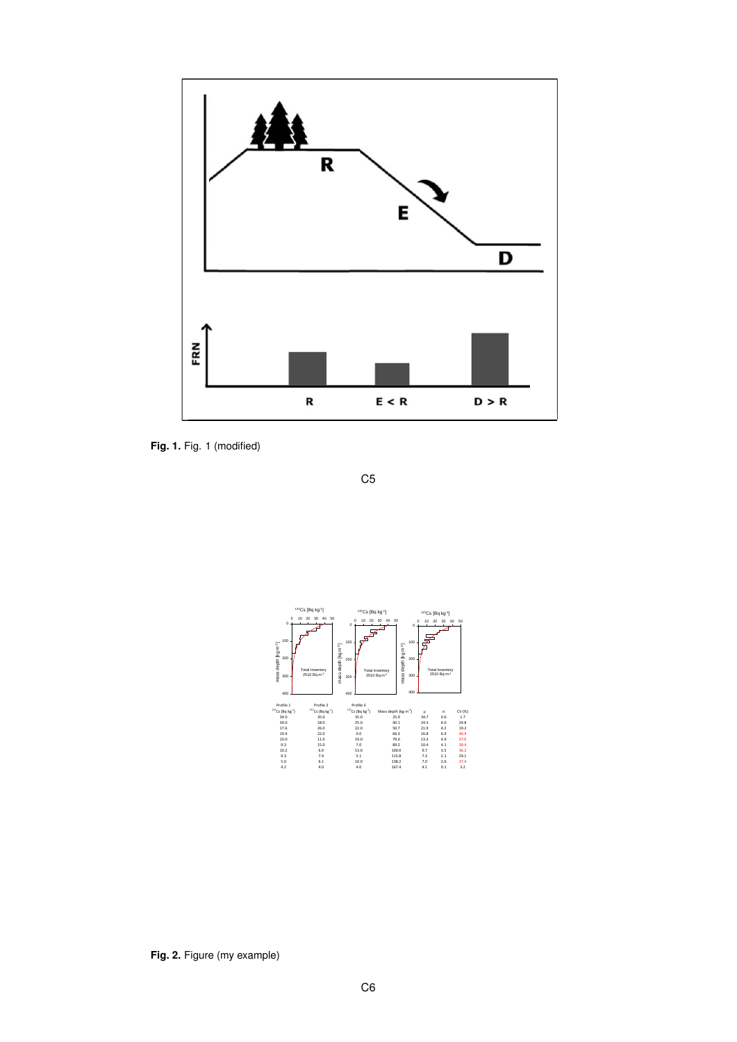

**Fig. 1.** Fig. 1 (modified)

C5



**Fig. 2.** Figure (my example)